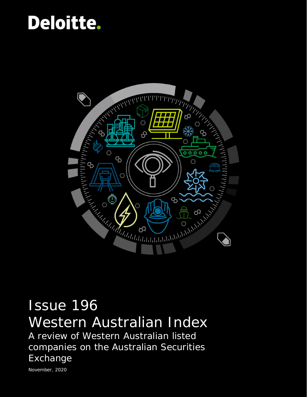## Deloitte.



# Issue 196

Western Australian Index A review of Western Australian listed companies on the Australian Securities Exchange

November, 2020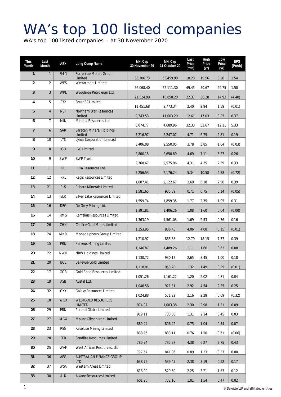### WA's top 100 listed companies

WA's top 100 listed companies – at 30 November 2020

| This<br>Month   | Last<br>Month   | ASX        | Long Comp Name                         | Mkt Cap<br>30 November 20 | Mkt Cap<br>31 October 20 | Last<br>Price<br>(mth) | High<br>Price<br>(yr) | Low<br>Price<br>(yr) | <b>EPS</b><br>(PoAb) |
|-----------------|-----------------|------------|----------------------------------------|---------------------------|--------------------------|------------------------|-----------------------|----------------------|----------------------|
| $\mathbf{1}$    | $\mathbf{1}$    | <b>FMG</b> | Fortescue Metals Group<br>Limited      | 56,106.73                 | 53,459.90                | 18.23                  | 19.56                 | 8.20                 | 1.54                 |
| 2               | $\overline{2}$  | <b>WES</b> | Wesfarmers Limited                     | 56,068.40                 | 52,111.30                | 49.45                  | 50.67                 | 29.75                | 1.50                 |
| $\mathfrak{Z}$  | $\overline{3}$  | <b>WPL</b> | Woodside Petroleum Ltd.                | 21,524.99                 | 16,858.20                | 22.37                  | 36.28                 | 14.93                | (4.40)               |
| 4               | 5               | S32        | South32 Limited                        | 11,451.68                 | 9,773.34                 | 2.40                   | 2.94                  | 1.59                 | (0.01)               |
| 5               | $\overline{4}$  | <b>NST</b> | Northern Star Resources<br>Limited     | 9,343.53                  | 11,003.29                | 12.61                  | 17.03                 | 8.85                 | 0.37                 |
| 6               | $\overline{7}$  | <b>MIN</b> | Mineral Resources Ltd                  | 6,074.77                  | 4,689.96                 | 32.33                  | 32.67                 | 12.11                | 5.33                 |
| $\overline{7}$  | 6               | SAR        | Saracen Mineral Holdings<br>Limited    | 5,216.97                  | 6,247.07                 | 4.71                   | 6.75                  | 2.81                 | 0.19                 |
| 8               | 10              | <b>LYC</b> | Lynas Corporation Limited              |                           |                          |                        |                       | 1.04                 |                      |
| 9               | 8               | <b>IGO</b> | <b>IGO Limited</b>                     | 3,406.08                  | 2,550.05                 | 3.78                   | 3.85                  |                      | (0.03)               |
| 10              | 9               | <b>BWP</b> | <b>BWP Trust</b>                       | 2,800.15                  | 2,650.89                 | 4.69                   | 7.11                  | 3.27                 | 0.26                 |
| 11              | 11              | ILU        | Iluka Resources Ltd.                   | 2,768.67                  | 2,575.96                 | 4.31                   | 4.35                  | 2.59                 | 0.33                 |
|                 |                 |            |                                        | 2,256.53                  | 2,176.24                 | 5.34                   | 10.58                 | 4.88                 | (0.72)               |
| 12              | 12              | <b>RRL</b> | Regis Resources Limited                | 1,887.41                  | 2,122.67                 | 3.69                   | 6.18                  | 2.90                 | 0.39                 |
| 13              | 21              | PLS        | Pilbara Minerals Limited               | 1,581.65                  | 935.39                   | 0.71                   | 0.75                  | 0.14                 | (0.05)               |
| 14              | 13              | <b>SLR</b> | Silver Lake Resources Limited          | 1,559.74                  | 1,859.35                 | 1.77                   | 2.75                  | 1.05                 | 0.31                 |
| 15              | 16              | <b>DEG</b> | De Grey Mining Ltd.                    | 1,391.81                  | 1,406.26                 | 1.08                   | 1.60                  | 0.04                 | (0.00)               |
| 16              | 14              | <b>RMS</b> | Ramelius Resources Limited             | 1,363.19                  | 1,561.03                 | 1.69                   | 2.53                  | 0.76                 | 0.16                 |
| 17              | 26              | <b>CHN</b> | <b>Chalice Gold Mines Limited</b>      | 1,253.95                  | 836.45                   | 4.06                   | 4.08                  | 0.15                 | (0.01)               |
| 18              | 24              | <b>MND</b> | Monadelphous Group Limited             |                           |                          |                        |                       |                      | 0.39                 |
| 19              | 15              | <b>PRU</b> | <b>Perseus Mining Limited</b>          | 1,210.97<br>1,146.87      | 865.38<br>1,489.26       | 12.79<br>1.11          | 18.15<br>1.66         | 7.77<br>0.63         | 0.08                 |
| 20              | 22              | <b>NWH</b> | <b>NRW Holdings Limited</b>            | 1,130.72                  | 930.17                   | 2.65                   | 3.45                  | 1.00                 | 0.18                 |
| $\overline{21}$ | $\overline{20}$ | <b>BGL</b> | <b>Bellevue Gold Limited</b>           | 1,118.01                  | 953.28                   | 1.32                   | 1.49                  | 0.29                 | (0.01)               |
| 22              | 17              | GOR        | <b>Gold Road Resources Limited</b>     | 1,051.26                  | 1,161.22                 | 1.20                   | 2.02                  | 0.81                 | 0.04                 |
| 23              | 19              | ASB        | Austal Ltd.                            | 1,046.58                  | 971.31                   | 2.92                   | 4.54                  | 2.25                 | 0.25                 |
| 24              | 32              | GXY        | Galaxy Resources Limited               | 1,024.88                  | 571.22                   | 2.16                   | 2.28                  | 0.69                 | (0.32)               |
| 25              | 18              | <b>WGX</b> | WESTGOLD RESOURCES<br>LIMITED.         | 974.87                    | 1,083.38                 | 2.30                   | 2.98                  | 1.21                 | 0.09                 |
| 26              | 29              | PRN        | Perenti Global Limited                 |                           |                          |                        |                       |                      |                      |
| $\overline{27}$ | $\overline{27}$ | <b>MGX</b> | Mount Gibson Iron Limited              | 919.11                    | 733.58                   | 1.31                   | 2.14                  | 0.45                 | 0.03                 |
| 28              | 23              | <b>RSG</b> | Resolute Mining Limited                | 889.44                    | 806.42                   | 0.75                   | 1.04                  | 0.54                 | 0.07                 |
| 29              | 28              | <b>SFR</b> | Sandfire Resources Limited             | 838.96                    | 883.11                   | 0.76                   | 1.50                  | 0.61                 | (0.06)               |
| 30              | 25              | <b>WAF</b> | West African Resources, Ltd.           | 780.74                    | 787.87                   | 4.38                   | 6.27                  | 2.75                 | 0.43                 |
|                 |                 |            |                                        | 777.57                    | 841.06                   | 0.89                   | 1.23                  | 0.37                 | 0.00                 |
| 31              | 36              | AFG        | AUSTRALIAN FINANCE GROUP<br><b>LTD</b> | 638.75                    | 539.45                   | 2.38                   | 3.19                  | 0.92                 | 0.17                 |
| 32              | 37              | <b>WSA</b> | Western Areas Limited                  | 618.90                    | 529.50                   | 2.25                   | 3.21                  | 1.63                 | 0.12                 |
| 33              | 30 <sup>°</sup> | <b>ALK</b> | Alkane Resources Limited               | 601.20                    | 732.16                   | 1.01                   | 1.54                  | 0.47                 | 0.02                 |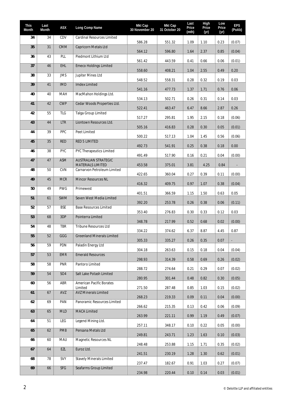| This<br>Month | Last<br>Month   | <b>ASX</b>      | Long Comp Name                                          | Mkt Cap<br>30 November 20 | Mkt Cap<br>31 October 20 | Last<br>Price<br>(mth) | High<br>Price<br>(yr) | Low<br>Price<br>(yr) | <b>EPS</b><br>(PoAb) |
|---------------|-----------------|-----------------|---------------------------------------------------------|---------------------------|--------------------------|------------------------|-----------------------|----------------------|----------------------|
| 34            | 34              | CDV             | <b>Cardinal Resources Limited</b>                       | 586.28                    | 551.32                   | 1.09                   | 1.10                  | 0.23                 | (0.07)               |
| 35            | 31              | <b>CMM</b>      | Capricorn Metals Ltd                                    | 564.12                    | 596.80                   | 1.64                   | 2.37                  | 0.85                 | (0.04)               |
| 36            | 43              | PLL             | Piedmont Lithium Ltd                                    | 561.42                    | 443.59                   | 0.41                   | 0.66                  | 0.06                 | (0.01)               |
| 37            | 46              | EHL             | <b>Emeco Holdings Limited</b>                           | 558.60                    | 408.21                   | 1.04                   | 2.55                  | 0.49                 | 0.20                 |
| 38            | 33              | <b>JMS</b>      | Jupiter Mines Ltd                                       | 548.52                    | 558.31                   | 0.28                   | 0.32                  | 0.19                 | 0.03                 |
| 39            | 41              | <b>IMD</b>      | <b>Imdex Limited</b>                                    | 541.16                    | 477.73                   | 1.37                   | 1.71                  | 0.76                 | 0.06                 |
| 40            | 40              | MAH             | MacMahon Holdings Ltd.                                  | 534.13                    | 502.71                   | 0.26                   | 0.31                  | 0.14                 | 0.03                 |
| 41            | 42              | <b>CWP</b>      | Cedar Woods Properties Ltd.                             | 522.41                    | 463.47                   | 6.47                   | 8.66                  | 2.87                 | 0.26                 |
| 42            | 55              | <b>TLG</b>      | <b>Talga Group Limited</b>                              |                           |                          |                        | 2.15                  |                      |                      |
| 43            | 44              | <b>LTR</b>      | Liontown Resources Ltd.                                 | 517.27                    | 295.81                   | 1.95                   |                       | 0.18                 | (0.06)               |
| 44            | 39              | PPC             | Peet Limited                                            | 505.16                    | 416.83                   | 0.28                   | 0.30                  | 0.05                 | (0.01)               |
| 45            | 35              | <b>RED</b>      | <b>RED 5 LIMITED</b>                                    | 500.22                    | 517.13                   | 1.04                   | 1.45                  | 0.56                 | (0.06)               |
| 46            | 38              | <b>PYC</b>      | PYC Therapeutics Limited                                | 492.73                    | 541.91                   | 0.25                   | 0.38                  | 0.18                 | 0.00                 |
| 47            | 47              | ASM             | <b>AUSTRALIAN STRATEGIC</b>                             | 491.49                    | 517.90                   | 0.16                   | 0.21                  | 0.04                 | (0.00)               |
| 48            | 50              | <b>CVN</b>      | <b>MATERIALS LIMITED</b><br>Carnarvon Petroleum Limited | 453.58                    | 375.01                   | 3.81                   | 4.25                  | 0.84                 |                      |
| 49            | 45              | <b>MCR</b>      | <b>Mincor Resources NL</b>                              | 422.65                    | 360.04                   | 0.27                   | 0.39                  | 0.11                 | (0.00)               |
| 50            | 49              | <b>PWG</b>      | Primewest                                               | 416.32                    | 409.75                   | 0.97                   | 1.07                  | 0.38                 | (0.04)               |
| 51            | 61              | <b>SWM</b>      | Seven West Media Limited                                | 401.51                    | 366.59                   | 1.15                   | 1.50                  | 0.63                 | 0.05                 |
| 52            | 57              | <b>BSE</b>      | <b>Base Resources Limited</b>                           | 392.20                    | 253.78                   | 0.26                   | 0.38                  | 0.06                 | (0.11)               |
| 53            | 68              | 3DP             | Pointerra Limited                                       | 353.40                    | 276.83                   | 0.30                   | 0.33                  | 0.12                 | 0.03                 |
| 54            | 48              | <b>TBR</b>      | Tribune Resources Ltd                                   | 348.78                    | 217.99                   | 0.52                   | 0.68                  | 0.02                 | (0.00)               |
| 55            | $\overline{52}$ | GGG             | <b>Greenland Minerals Limited</b>                       | 334.22                    | 374.62                   | 6.37                   | 8.87                  | 4.45                 | 0.87                 |
| 56            | 59              | PDN             | Paladin Energy Ltd                                      | 305.33                    | 335.27                   | 0.26                   | 0.35                  | 0.07                 |                      |
| 57            | 53              | EMR             | <b>Emerald Resources</b>                                | 304.18                    | 263.63                   | 0.15                   | 0.18                  | 0.04                 | (0.04)               |
| 58            | 58              | <b>PNR</b>      | Pantoro Limited                                         | 298.93                    | 314.39                   | 0.58                   | 0.69                  | 0.26                 | (0.02)               |
| 59            | 54              | SO <sub>4</sub> | Salt Lake Potash Limited                                | 288.72                    | 274.64                   | 0.21                   | 0.29                  | 0.07                 | (0.02)               |
| 60            | 56              | ABR             | American Pacific Borates                                | 280.95                    | 301.44                   | 0.48                   | 0.82                  | 0.30                 | (0.05)               |
| 61            | 67              | AVZ             | Limited<br><b>AVZ Minerals Limited</b>                  | 271.50                    | 287.48                   | 0.85                   | 1.03                  | 0.15                 | (0.02)               |
| 62            | 69              | PAN             | Panoramic Resources Limited                             | 268.23                    | 219.33                   | 0.09                   | 0.11                  | 0.04                 | (0.00)               |
| 63            | 65              | <b>MLD</b>      | MACA Limited                                            | 266.62                    | 215.35                   | 0.13                   | 0.42                  | 0.06                 | (0.09)               |
| 64            | 51              | LEG             | Legend Mining Ltd.                                      | 263.99                    | 221.11                   | 0.99                   | 1.19                  | 0.49                 | (0.07)               |
|               | 62              | PM8             | Pensana Metals Ltd                                      | 257.11                    | 348.17                   | 0.10                   | 0.22                  | 0.05                 | (0.00)               |
| 65            |                 |                 |                                                         | 249.81                    | 243.71                   | 1.23                   | 1.63                  | 0.10                 | (0.03)               |
| 66            | 60              | MAU             | Magnetic Resources NL                                   | 248.48                    | 253.88                   | 1.15                   | 1.71                  | 0.35                 | (0.02)               |
| 67            | 64              | EZL             | Euroz Ltd.                                              | 241.51                    | 230.19                   | 1.28                   | 1.30                  | 0.62                 | (0.01)               |
| 68            | 78              | SVY             | <b>Stavely Minerals Limited</b>                         | 237.47                    | 182.67                   | 0.91                   | 1.03                  | 0.27                 | (0.07)               |
| 69            | 66              | SFG             | Seafarms Group Limited                                  | 234.98                    | 220.44                   | 0.10                   | 0.14                  | 0.03                 | (0.01)               |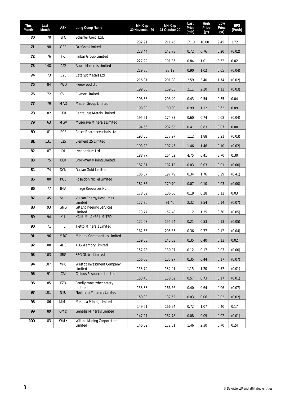| This<br>Month | Last<br>Month | <b>ASX</b> | Long Comp Name                            | Mkt Cap<br>30 November 20 | Mkt Cap<br>31 October 20 | Last<br>Price<br>(mth) | High<br>Price<br>(yr) | Low<br>Price<br>(yr) | <b>EPS</b><br>(PoAb) |
|---------------|---------------|------------|-------------------------------------------|---------------------------|--------------------------|------------------------|-----------------------|----------------------|----------------------|
| 70            | 70            | <b>SFC</b> | Schaffer Corp. Ltd.                       | 232.91                    | 211.45                   | 17.10                  | 18.00                 | 9.45                 | 1.72                 |
| 71            | 98            | <b>ORR</b> | OreCorp Limited                           | 228.44                    | 142.78                   | 0.72                   | 0.76                  | 0.20                 | (0.02)               |
| 72            | 76            | <b>FRI</b> | Finbar Group Limited                      |                           |                          |                        |                       |                      |                      |
| 73            | 148           | AZS        | <b>Azure Minerals Limited</b>             | 227.22                    | 191.85                   | 0.84                   | 1.01                  | 0.52                 | 0.02                 |
| 74            | 73            | CYL        | Catalyst Metals Ltd                       | 219.86                    | 87.19                    | 0.90                   | 1.02                  | 0.05                 | (0.04)               |
| 75            | 84            | <b>FWD</b> | Fleetwood Ltd.                            | 216.01                    | 201.88                   | 2.59                   | 3.40                  | 1.74                 | (0.02)               |
| 76            | 72            | <b>CVL</b> | Civmec Limited                            | 199.63                    | 169.35                   | 2.11                   | 2.20                  | 1.12                 | (0.03)               |
| 77            | 79            | <b>MAD</b> | Mader Group Limited                       | 198.38                    | 203.40                   | 0.43                   | 0.54                  | 0.35                 | 0.04                 |
|               |               |            |                                           | 198.00                    | 180.00                   | 0.99                   | 1.12                  | 0.62                 | 0.09                 |
| 78            | 82            | <b>CTM</b> | Centaurus Metals Limited                  | 195.51                    | 174.33                   | 0.60                   | 0.74                  | 0.08                 | (0.04)               |
| 79            | 63            | <b>MGV</b> | Musgrave Minerals Limited                 | 194.66                    | 232.65                   | 0.41                   | 0.83                  | 0.07                 | 0.00                 |
| 80            | 81            | <b>RCE</b> | Recce Pharmaceuticals Ltd                 | 193.60                    | 177.97                   | 1.12                   | 1.88                  | 0.21                 | (0.03)               |
| 81            | 131           | E25        | Element 25 Limited                        | 193.28                    | 107.45                   | 1.46                   | 1.46                  | 0.10                 | (0.02)               |
| 82            | 87            | LYL        | Lycopodium Ltd.                           | 188.77                    | 164.52                   | 4.75                   | 6.41                  | 3.70                 | 0.30                 |
| 83            | 75            | <b>BCK</b> | <b>Brockman Mining Limited</b>            |                           |                          |                        |                       |                      | (0.00)               |
| 84            | 74            | <b>DCN</b> | Dacian Gold Limited                       | 187.31                    | 192.12                   | 0.03                   | 0.03                  | 0.01                 |                      |
| 85            | 80            | POS        | Poseidon Nickel Limited                   | 186.37                    | 197.49                   | 0.34                   | 1.76                  | 0.29                 | (0.41)               |
| 86            | 77            | <b>IMA</b> | Image Resources NL                        | 182.35                    | 179.70                   | 0.07                   | 0.10                  | 0.03                 | (0.00)               |
| 87            | 145           | <b>VUL</b> | <b>Vulcan Energy Resources</b>            | 178.59                    | 186.06                   | 0.18                   | 0.28                  | 0.12                 | 0.03                 |
| 88            | 93            | <b>GNG</b> | Limited<br><b>GR Engineering Services</b> | 177.30                    | 91.40                    | 2.32                   | 2.54                  | 0.14                 | (0.07)               |
| 89            | 94            |            | Limited                                   | 173.77                    | 157.48                   | 1.12                   | 1.25                  | 0.60                 | (0.05)               |
|               |               | KLL        | KALIUM LAKES LIMITED                      | 172.03                    | 155.24                   | 0.21                   | 0.53                  | 0.13                 | (0.05)               |
| 90            | 71            | <b>TIE</b> | <b>Tietto Minerals Limited</b>            | 162.65                    | 205.35                   | 0.36                   | 0.77                  | 0.12                 | (0.04)               |
| 91            | 96            | <b>MRC</b> | Mineral Commodities Limited               | 159.63                    | 145.63                   | 0.35                   | 0.40                  | 0.13                 | 0.02                 |
| 92            | 108           | 4DS        | 4DS Memory Limited                        | 157.28                    | 130.97                   | 0.12                   | 0.17                  | 0.03                 | (0.00)               |
| 93            | 103           | SRG        | <b>SRG Global Limited</b>                 | 156.03                    | 135.97                   | 0.35                   | 0.44                  | 0.17                 | (0.07)               |
| 94            | 107           | <b>WIC</b> | Westoz Investment Company<br>Limited      | 153.79                    | 132.41                   | 1.15                   | 1.20                  | 0.57                 | (0.01)               |
| 95            | 91            | CAI        | <b>Calidus Resources Limited</b>          | 153.43                    | 158.82                   | 0.57                   | 0.73                  | 0.17                 | (0.01)               |
| 96            | 85            | <b>FZO</b> | Family zone cyber safety                  |                           |                          |                        |                       |                      |                      |
| 97            | 101           | <b>NTU</b> | limtited<br>Northern Minerals Limited     | 153.38                    | 166.66                   | 0.40                   | 0.64                  | 0.06                 | (0.07)               |
| 98            | 86            | MML        | Medusa Mining Limited                     | 150.83                    | 137.52                   | 0.03                   | 0.06                  | 0.02                 | (0.02)               |
| 99            | 89            | <b>GMD</b> | <b>Genesis Minerals Limited</b>           | 149.61                    | 166.24                   | 0.72                   | 1.07                  | 0.40                 | 0.17                 |
| 100           | 83            | <b>WMX</b> | Wiluna Mining Corporation                 | 147.27                    | 162.78                   | 0.08                   | 0.09                  | 0.02                 | (0.01)               |
|               |               |            | Limited                                   | 146.69                    | 172.81                   | 1.46                   | 2.30                  | 0.70                 | 0.24                 |